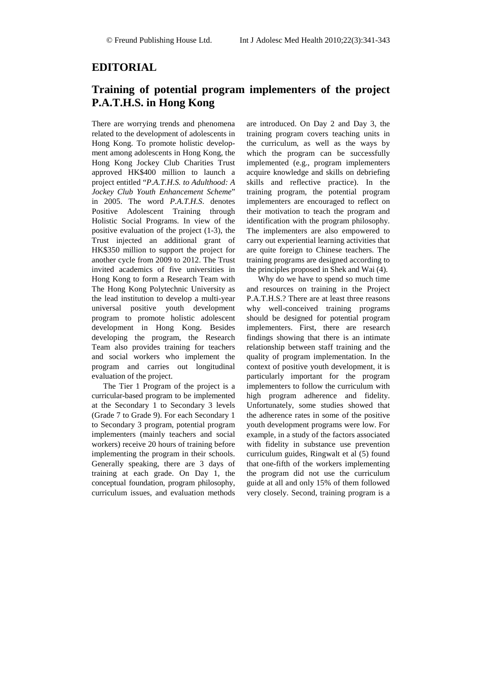# **EDITORIAL**

# **Training of potential program implementers of the project P.A.T.H.S. in Hong Kong**

There are worrying trends and phenomena related to the development of adolescents in Hong Kong. To promote holistic development among adolescents in Hong Kong, the Hong Kong Jockey Club Charities Trust approved HK\$400 million to launch a project entitled "*P.A.T.H.S. to Adulthood: A Jockey Club Youth Enhancement Scheme*" in 2005. The word *P.A.T.H.S*. denotes Positive Adolescent Training through Holistic Social Programs. In view of the positive evaluation of the project (1-3), the Trust injected an additional grant of HK\$350 million to support the project for another cycle from 2009 to 2012. The Trust invited academics of five universities in Hong Kong to form a Research Team with The Hong Kong Polytechnic University as the lead institution to develop a multi-year universal positive youth development program to promote holistic adolescent development in Hong Kong. Besides developing the program, the Research Team also provides training for teachers and social workers who implement the program and carries out longitudinal evaluation of the project.

The Tier 1 Program of the project is a curricular-based program to be implemented at the Secondary 1 to Secondary 3 levels (Grade 7 to Grade 9). For each Secondary 1 to Secondary 3 program, potential program implementers (mainly teachers and social workers) receive 20 hours of training before implementing the program in their schools. Generally speaking, there are 3 days of training at each grade. On Day 1, the conceptual foundation, program philosophy, curriculum issues, and evaluation methods are introduced. On Day 2 and Day 3, the training program covers teaching units in the curriculum, as well as the ways by which the program can be successfully implemented (e.g., program implementers acquire knowledge and skills on debriefing skills and reflective practice). In the training program, the potential program implementers are encouraged to reflect on their motivation to teach the program and identification with the program philosophy. The implementers are also empowered to carry out experiential learning activities that are quite foreign to Chinese teachers. The training programs are designed according to the principles proposed in Shek and Wai (4).

Why do we have to spend so much time and resources on training in the Project P.A.T.H.S.? There are at least three reasons why well-conceived training programs should be designed for potential program implementers. First, there are research findings showing that there is an intimate relationship between staff training and the quality of program implementation. In the context of positive youth development, it is particularly important for the program implementers to follow the curriculum with high program adherence and fidelity. Unfortunately, some studies showed that the adherence rates in some of the positive youth development programs were low. For example, in a study of the factors associated with fidelity in substance use prevention curriculum guides, Ringwalt et al (5) found that one-fifth of the workers implementing the program did not use the curriculum guide at all and only 15% of them followed very closely. Second, training program is a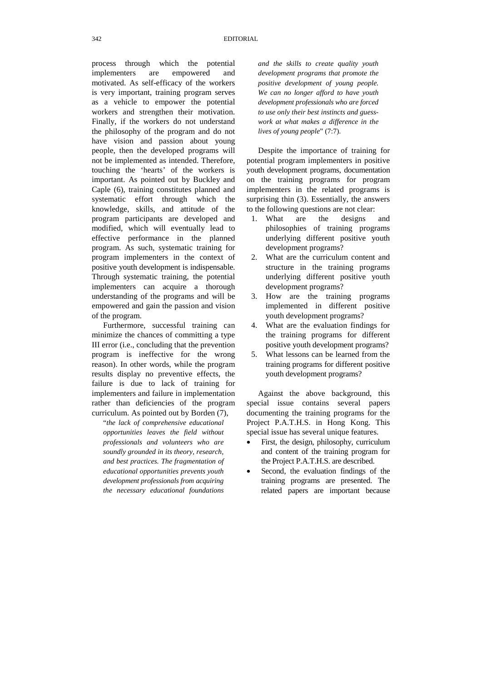process through which the potential implementers are empowered and motivated. As self-efficacy of the workers is very important, training program serves as a vehicle to empower the potential workers and strengthen their motivation. Finally, if the workers do not understand the philosophy of the program and do not have vision and passion about young people, then the developed programs will not be implemented as intended. Therefore, touching the 'hearts' of the workers is important. As pointed out by Buckley and Caple (6), training constitutes planned and systematic effort through which the knowledge, skills, and attitude of the program participants are developed and modified, which will eventually lead to effective performance in the planned program. As such, systematic training for program implementers in the context of positive youth development is indispensable. Through systematic training, the potential implementers can acquire a thorough understanding of the programs and will be empowered and gain the passion and vision of the program.

Furthermore, successful training can minimize the chances of committing a type III error (i.e., concluding that the prevention program is ineffective for the wrong reason). In other words, while the program results display no preventive effects, the failure is due to lack of training for implementers and failure in implementation rather than deficiencies of the program curriculum. As pointed out by Borden (7),

"*the lack of comprehensive educational opportunities leaves the field without professionals and volunteers who are soundly grounded in its theory, research, and best practices. The fragmentation of educational opportunities prevents youth development professionals from acquiring the necessary educational foundations* 

*and the skills to create quality youth development programs that promote the positive development of young people. We can no longer afford to have youth development professionals who are forced to use only their best instincts and guesswork at what makes a difference in the lives of young people*" (7:7).

Despite the importance of training for potential program implementers in positive youth development programs, documentation on the training programs for program implementers in the related programs is surprising thin (3). Essentially, the answers to the following questions are not clear:

- 1. What are the designs and philosophies of training programs underlying different positive youth development programs?
- 2. What are the curriculum content and structure in the training programs underlying different positive youth development programs?
- 3. How are the training programs implemented in different positive youth development programs?
- 4. What are the evaluation findings for the training programs for different positive youth development programs?
- 5. What lessons can be learned from the training programs for different positive youth development programs?

Against the above background, this special issue contains several papers documenting the training programs for the Project P.A.T.H.S. in Hong Kong. This special issue has several unique features.

- First, the design, philosophy, curriculum and content of the training program for the Project P.A.T.H.S. are described.
- Second, the evaluation findings of the training programs are presented. The related papers are important because